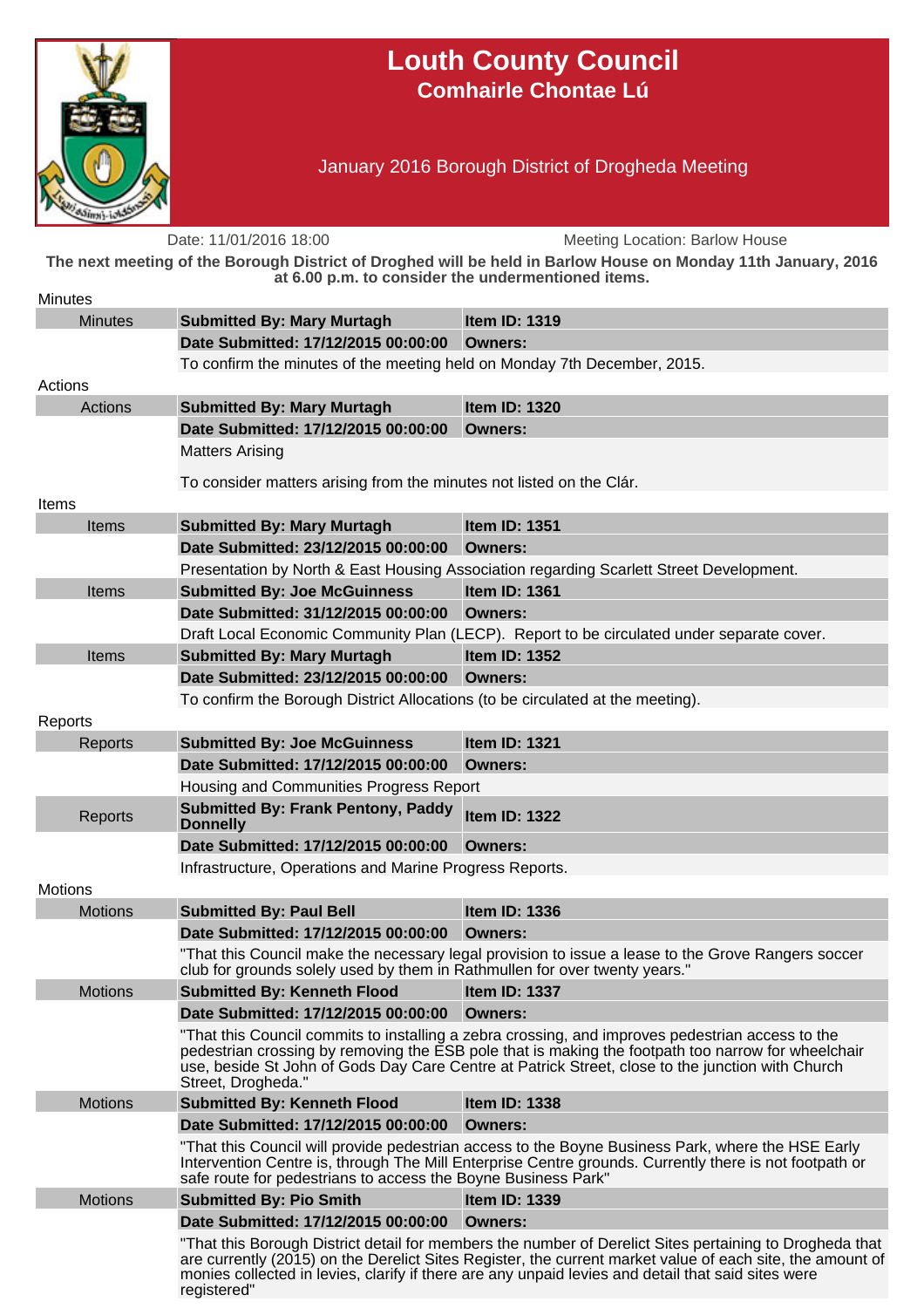

## **Louth County Council Comhairle Chontae Lú**

January 2016 Borough District of Drogheda Meeting

Date: 11/01/2016 18:00 Meeting Location: Barlow House **The next meeting of the Borough District of Droghed will be held in Barlow House on Monday 11th January, 2016 at 6.00 p.m. to consider the undermentioned items. Minutes** Minutes **Submitted By: Mary Murtagh Item ID: 1319 Date Submitted: 17/12/2015 00:00:00 Owners:** To confirm the minutes of the meeting held on Monday 7th December, 2015. Actions Actions **Submitted By: Mary Murtagh Item ID: 1320 Date Submitted: 17/12/2015 00:00:00 Owners:** Matters Arising To consider matters arising from the minutes not listed on the Clár. Items Items **Submitted By: Mary Murtagh Item ID: 1351 Date Submitted: 23/12/2015 00:00:00 Owners:** Presentation by North & East Housing Association regarding Scarlett Street Development. Items **Submitted By: Joe McGuinness Item ID: 1361 Date Submitted: 31/12/2015 00:00:00 Owners:** Draft Local Economic Community Plan (LECP). Report to be circulated under separate cover. Items **Submitted By: Mary Murtagh Item ID: 1352 Date Submitted: 23/12/2015 00:00:00 Owners:** To confirm the Borough District Allocations (to be circulated at the meeting). Reports Reports **Submitted By: Joe McGuinness Item ID: 1321 Date Submitted: 17/12/2015 00:00:00 Owners:** Housing and Communities Progress Report Reports **Submitted By: Frank Pentony, Paddy Donnelly Item ID: 1322 Date Submitted: 17/12/2015 00:00:00 Owners:** Infrastructure, Operations and Marine Progress Reports. **Motions** Motions **Submitted By: Paul Bell Item ID: 1336 Date Submitted: 17/12/2015 00:00:00 Owners:** "That this Council make the necessary legal provision to issue a lease to the Grove Rangers soccer club for grounds solely used by them in Rathmullen for over twenty years." Motions **Submitted By: Kenneth Flood Item ID: 1337 Date Submitted: 17/12/2015 00:00:00 Owners:** "That this Council commits to installing a zebra crossing, and improves pedestrian access to the pedestrian crossing by removing the ESB pole that is making the footpath too narrow for wheelchair use, beside St John of Gods Day Care Centre at Patrick Street, close to the junction with Church Street, Drogheda." Motions **Submitted By: Kenneth Flood Item ID: 1338 Date Submitted: 17/12/2015 00:00:00 Owners:** "That this Council will provide pedestrian access to the Boyne Business Park, where the HSE Early Intervention Centre is, through The Mill Enterprise Centre grounds. Currently there is not footpath or safe route for pedestrians to access the Boyne Business Park" Motions **Submitted By: Pio Smith Item ID: 1339 Date Submitted: 17/12/2015 00:00:00 Owners:** "That this Borough District detail for members the number of Derelict Sites pertaining to Drogheda that are currently (2015) on the Derelict Sites Register, the current market value of each site, the amount of monies collected in levies, clarify if there are any unpaid levies and detail that said sites were registered"